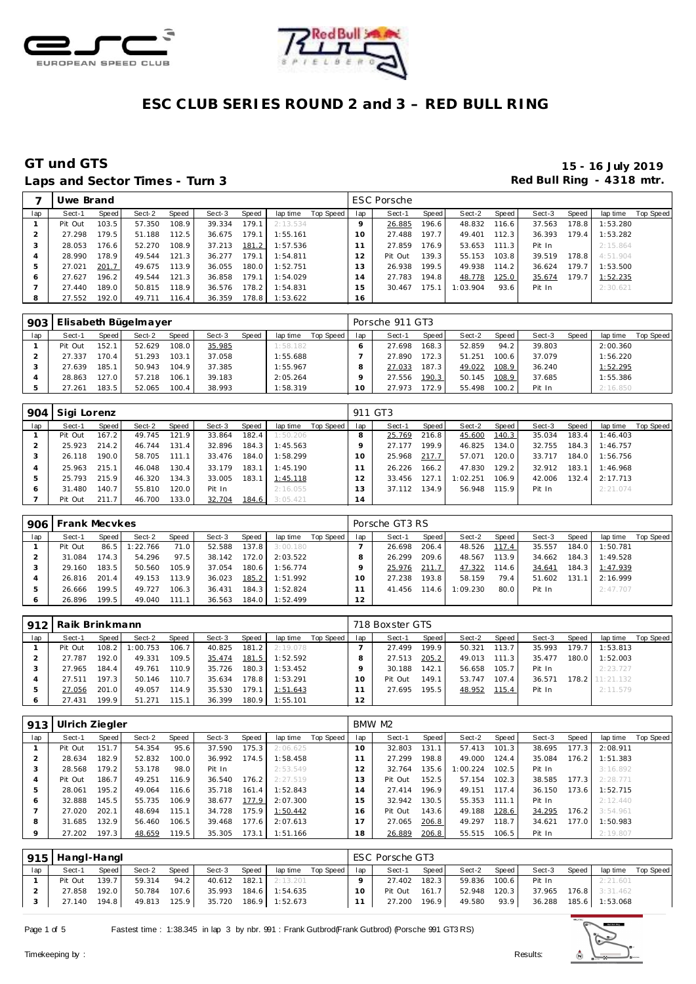



# Laps and Sector Times - Turn 3 **Red Bull Ring - 4318 mtr.**

# **GT und GTS 15 - 16 July 2019**

|     | Uwe Brand |       |        |       |        |       |          |           |           | <b>ESC Porsche</b> |                    |          |       |        |       |          |           |
|-----|-----------|-------|--------|-------|--------|-------|----------|-----------|-----------|--------------------|--------------------|----------|-------|--------|-------|----------|-----------|
| lap | Sect-1    | Speed | Sect-2 | Speed | Sect-3 | Speed | lap time | Top Speed | lap       | Sect-1             | Speed              | Sect-2   | Speed | Sect-3 | Speed | lap time | Top Speed |
|     | Pit Out   | 103.5 | 57.350 | 108.9 | 39.334 | 179.1 | 2:13.534 |           | O         | 26.885             | 196.6              | 48.832   | 116.6 | 37.563 | 178.8 | 1:53.280 |           |
|     | 27.298    | 179.5 | 51.188 | 112.5 | 36.675 | 179.1 | 1:55.161 |           | 10        | 27.488             | 197.7              | 49.401   | 112.3 | 36.393 | 179.4 | 1:53.282 |           |
| 3   | 28.053    | 176.6 | 52.270 | 108.9 | 37.213 | 181.2 | 1:57.536 |           |           | 27.859             | 176.9              | 53.653   | 111.3 | Pit In |       | 2:15.864 |           |
| 4   | 28.990    | 178.9 | 49.544 | 121.3 | 36.277 | 179.1 | 1:54.811 |           | 12        | Pit Out            | 139.3 <sub>1</sub> | 55.153   | 103.8 | 39.519 | 178.8 | 4:51.904 |           |
| 5   | 27.021    | 201.7 | 49.675 | 113.9 | 36.055 | 180.0 | 1:52.751 |           | 13        | 26.938             | 199.5              | 49.938   | 114.2 | 36.624 | 179.7 | 1:53.500 |           |
| Ô   | 27.627    | 196.2 | 49.544 | 121.3 | 36.858 | 179.1 | 1:54.029 |           | ×,<br>i 4 | 27.783             | 194.8              | 48.778   | 125.0 | 35.674 | 179.7 | 1:52.235 |           |
|     | 27.440    | 189.0 | 50.815 | 118.9 | 36.576 | 178.2 | 1:54.831 |           | 15        | 30.467             | 175.1              | 1:03.904 | 93.6  | Pit In |       | 2:30.621 |           |
| 8   | 27.552    | 192.0 | 49.711 | 116.4 | 36.359 | 178.8 | 1:53.622 |           | 16        |                    |                    |          |       |        |       |          |           |

| 903 |         |       | Elisabeth Bügelmayer |       |        |       |          |           |     | Porsche 911 GT3 |       |        |       |        |       |          |           |
|-----|---------|-------|----------------------|-------|--------|-------|----------|-----------|-----|-----------------|-------|--------|-------|--------|-------|----------|-----------|
| lap | Sect-1  | Speed | Sect-2               | Speed | Sect-3 | Speed | lap time | Top Speed | lap | Sect-1          | Speed | Sect-2 | Speed | Sect-3 | Speed | lap time | Top Speed |
|     | Pit Out | 152.1 | 52.629               | 108.0 | 35.985 |       | 1:58.182 |           |     | 27.698          | 168.3 | 52.859 | 94.2  | 39.803 |       | 2:00.360 |           |
|     | 27.337  | 170.4 | 51.293               | 103.1 | 37.058 |       | 1:55.688 |           |     | 27.890          | 172.3 | 51.251 | 100.6 | 37.079 |       | 1:56.220 |           |
|     | 27.639  | 185.1 | 50.943               | 104.9 | 37.385 |       | 1:55.967 |           |     | 27.033          | 187.3 | 49.022 | 108.9 | 36.240 |       | 1:52.295 |           |
|     | 28.863  | 127.0 | 57.218               | 106.1 | 39.183 |       | 2:05.264 |           |     | 27.556          | 190.3 | 50.145 | 108.9 | 37.685 |       | 1:55.386 |           |
|     | 27.261  | 183.5 | 52.065               | 100.4 | 38.993 |       | 1:58.319 |           |     | 27.973          | 72.9  | 55.498 | 100.2 | Pit In |       | 2:16.850 |           |

| 904           | Sigi Lorenz |       |        |       |        |       |          |           | 911 GT3 |        |       |          |       |        |       |          |           |
|---------------|-------------|-------|--------|-------|--------|-------|----------|-----------|---------|--------|-------|----------|-------|--------|-------|----------|-----------|
| lap           | Sect-1      | Speed | Sect-2 | Speed | Sect-3 | Speed | lap time | Top Speed | lap     | Sect-1 | Speed | Sect-2   | Speed | Sect-3 | Speed | lap time | Top Speed |
|               | Pit Out     | 167.2 | 49.745 | 121.9 | 33.864 | 182.4 | 1:50.206 |           |         | 25.769 | 216.8 | 45.600   | 140.3 | 35.034 | 183.4 | 1:46.403 |           |
|               | 25.923      | 214.2 | 46.744 | 131.4 | 32.896 | 184.3 | 1:45.563 |           |         | 27.177 | 199.9 | 46.825   | 134.0 | 32.755 | 184.3 | 1:46.757 |           |
| ر -           | 26.118      | 190.0 | 58.705 | 111.1 | 33.476 | 184.0 | 1:58.299 |           | 10      | 25.968 | 217.7 | 57.071   | 120.0 | 33.717 | 184.0 | 1:56.756 |           |
|               | 25.963      | 215.1 | 46.048 | 130.4 | 33.179 | 183.1 | 1:45.190 |           |         | 26.226 | 166.2 | 47.830   | 129.2 | 32.912 | 183.1 | 1:46.968 |           |
| $\mathcal{P}$ | 25.793      | 215.9 | 46.320 | 134.3 | 33.005 | 183.1 | 1:45.118 |           | 12      | 33.456 | 127.1 | 1:02.251 | 106.9 | 42.006 | 132.4 | 2:17.713 |           |
| ō             | 31.480      | 140.7 | 55.810 | 120.0 | Pit In |       | 2:16.055 |           | . 3     | 37.112 | 134.9 | 56.948   | 115.9 | Pit In |       | 2:21.074 |           |
|               | Pit Out     | 211.7 | 46.700 | 133.0 | 32.704 | 184.6 | 3:05.421 |           | 14      |        |       |          |       |        |       |          |           |

| 906 | Frank Mecvkes |         |          |       |        |       |          |           |     | Porsche GT3 RS |       |          |       |        |       |          |           |
|-----|---------------|---------|----------|-------|--------|-------|----------|-----------|-----|----------------|-------|----------|-------|--------|-------|----------|-----------|
| lap | Sect-1        | Speed   | Sect-2   | Speed | Sect-3 | Speed | lap time | Top Speed | lap | Sect-1         | Speed | Sect-2   | Speed | Sect-3 | Speed | lap time | Top Speed |
|     | Pit Out       | 86.5    | 1:22.766 | 71.0  | 52.588 | 137.8 | 3:00.180 |           |     | 26.698         | 206.4 | 48.526   | 117.4 | 35.557 | 184.0 | 1:50.781 |           |
|     | 31.084        | 174.3 I | 54.296   | 97.5  | 38.142 | 172.0 | 2:03.522 |           |     | 26.299         | 209.6 | 48.567   | 113.9 | 34.662 | 184.3 | 1:49.528 |           |
|     | 29.160        | 183.5   | 50.560   | 105.9 | 37.054 | 180.6 | 1:56.774 |           |     | 25.976         | 211.7 | 47.322   | 114.6 | 34.641 | 184.3 | 1:47.939 |           |
|     | 26.816        | 201.4   | 49.153   | 113.9 | 36.023 | 185.2 | 1:51.992 |           |     | 27.238         | 193.8 | 58.159   | 79.4  | 51.602 | 131.1 | 2:16.999 |           |
|     | 26.666        | 199.5   | 49.727   | 106.3 | 36.431 | 184.3 | 1:52.824 |           |     | 41.456         | 114.6 | 1:09.230 | 80.0  | Pit In |       | 2:47.707 |           |
|     | 26.896        | 199.5   | 49.040   | 111.1 | 36.563 | 184.0 | 1:52.499 |           | 12  |                |       |          |       |        |       |          |           |

| 912 | Raik Brinkmann |       |          |       |        |       |          |           |     | 718 Boxster GTS |       |        |       |        |       |                 |           |
|-----|----------------|-------|----------|-------|--------|-------|----------|-----------|-----|-----------------|-------|--------|-------|--------|-------|-----------------|-----------|
| lap | Sect-1         | Speed | Sect-2   | Speed | Sect-3 | Speed | lap time | Top Speed | lap | Sect-1          | Speed | Sect-2 | Speed | Sect-3 | Speed | lap time        | Top Speed |
|     | Pit Out        | 108.2 | : 00.753 | 106.7 | 40.825 | 181.2 | 2:19.078 |           |     | 27.499          | 199.9 | 50.321 | 113.7 | 35.993 | 179.7 | 1:53.813        |           |
|     | 27.787         | 192.0 | 49.331   | 109.5 | 35.474 | 181.5 | 1:52.592 |           |     | 27.513          | 205.2 | 49.013 | 111.3 | 35.477 | 180.0 | 1:52.003        |           |
|     | 27.965         | 184.4 | 49.761   | 110.9 | 35.726 | 180.3 | 1:53.452 |           |     | 30.188          | 142.1 | 56.658 | 105.7 | Pit In |       | 2:23.727        |           |
|     | 27.511         | 197.3 | 50.146   | 110.7 | 35.634 | 178.8 | 1:53.291 |           |     | Pit Out         | 149.1 | 53.747 | 107.4 | 36.571 |       | 178.2 11:21.132 |           |
|     | 27.056         | 201.0 | 49.057   | 114.9 | 35.530 | 179.1 | 1:51.643 |           |     | 27.695          | 195.5 | 48.952 | 115.4 | Pit In |       | 2:11.579        |           |
| O   | 27.431         | 199.9 | 51.271   | 115.1 | 36.399 | 180.9 | 1:55.101 |           | 12  |                 |       |        |       |        |       |                 |           |

| 913 | Ulrich Ziegler |       |        |       |        |       |          |           |                | BMW M2  |       |          |       |        |       |          |           |
|-----|----------------|-------|--------|-------|--------|-------|----------|-----------|----------------|---------|-------|----------|-------|--------|-------|----------|-----------|
| lap | Sect-1         | Speed | Sect-2 | Speed | Sect-3 | Speed | lap time | Top Speed | lap            | Sect-1  | Speed | Sect-2   | Speed | Sect-3 | Speed | lap time | Top Speed |
|     | Pit Out        | 151.7 | 54.354 | 95.6  | 37.590 | 175.3 | 2:06.625 |           | 10             | 32.803  | 131.1 | 57.413   | 101.3 | 38.695 | 177.3 | 2:08.911 |           |
|     | 28.634         | 182.9 | 52.832 | 100.0 | 36.992 | 174.5 | 1:58.458 |           |                | 27.299  | 198.8 | 49.000   | 124.4 | 35.084 | 176.2 | 1:51.383 |           |
|     | 28.568         | 179.2 | 53.178 | 98.0  | Pit In |       | 2:53.549 |           | $\overline{2}$ | 32.764  | 135.6 | 1:00.224 | 102.5 | Pit In |       | 3:16.892 |           |
| 4   | Pit Out        | 186.7 | 49.251 | 116.9 | 36.540 | 176.2 | 2:27.519 |           | 13             | Pit Out | 152.5 | 57.154   | 102.3 | 38.585 | 177.3 | 2:28.771 |           |
| 5   | 28.061         | 195.2 | 49.064 | 116.6 | 35.718 | 161.4 | 1:52.843 |           | $\overline{4}$ | 27.414  | 196.9 | 49.151   | 117.4 | 36.150 | 173.6 | 1:52.715 |           |
| O   | 32.888         | 145.5 | 55.735 | 106.9 | 38.677 | 177.9 | 2:07.300 |           | 5              | 32.942  | 130.5 | 55.353   | 111.1 | Pit In |       | 2:12.440 |           |
|     | 27.020         | 202.1 | 48.694 | 115.1 | 34.728 | 175.9 | 1:50.442 |           | 16             | Pit Out | 143.6 | 49.188   | 128.6 | 34.295 | 176.2 | 3:54.961 |           |
| 8   | 31.685         | 132.9 | 56.460 | 106.5 | 39.468 | 177.6 | 2:07.613 |           |                | 27.065  | 206.8 | 49.297   | 118.7 | 34.621 | 177.0 | 1:50.983 |           |
| 9   | 27.202         | 197.3 | 48.659 | 119.5 | 35.305 | 173.1 | 1:51.166 |           | 18             | 26.889  | 206.8 | 55.515   | 106.5 | Pit In |       | 2:19.807 |           |

|     | 915   Hangl-Hangl |       |        |       |                                    |       |                       |                    |     | ESC Porsche GT3 |       |              |       |        |       |                       |                    |
|-----|-------------------|-------|--------|-------|------------------------------------|-------|-----------------------|--------------------|-----|-----------------|-------|--------------|-------|--------|-------|-----------------------|--------------------|
| lap | Sect-1            | Speed | Sect-2 | Speed | Sect-3                             | Speed |                       | lap time Top Speed | lap | Sect-1          | Speed | Sect-2       | Speed | Sect-3 | Speed |                       | lap time Top Speed |
|     | Pit Out           | 139.7 | 59.314 | 94.2  |                                    |       | 40.612 182.1 2:13.201 |                    |     | 27.402          | 182.3 | 59.836 100.6 |       | Pit In |       | 2:21.601              |                    |
|     | 27.858            | 192.0 | 50.784 | 107.6 |                                    |       | 35.993 184.6 1:54.635 |                    | 10  | Pit Out         | 161.7 | 52.948 120.3 |       |        |       | 37.965 176.8 3:31.462 |                    |
|     | 27.140            | 194.8 |        |       | 49.813 125.9 35.720 186.9 1:52.673 |       |                       |                    |     | 27.200          | 196.9 | 49.580       | 93.9  | 36.288 |       | 185.6 1:53.068        |                    |

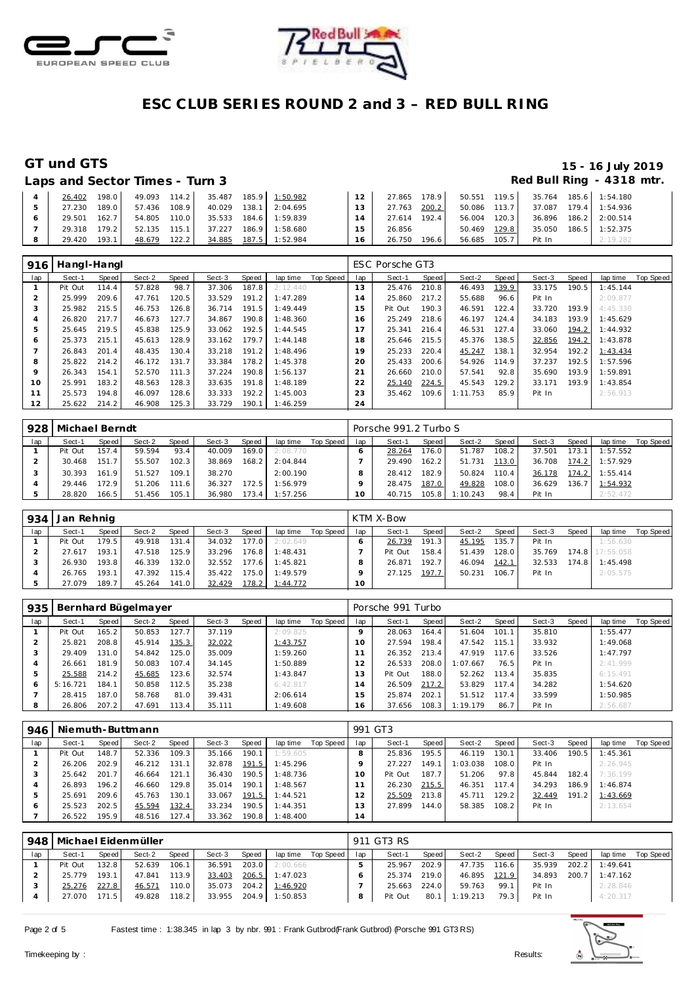



### GT und GTS

### 15 - 16 July 2019 Red Bull Ring - 4318 mtr.

|  | Laps and Sector Times - Turn 3 |  |
|--|--------------------------------|--|

| 26.402       | 198.0  |              |       |  | 49.093 114.2 35.487 185.9 1:50.982 | 12 <sup>1</sup> | 27.865 178.9 |       |              |                                    | 50.551  119.5  35.764  185.6  1:54.180 |
|--------------|--------|--------------|-------|--|------------------------------------|-----------------|--------------|-------|--------------|------------------------------------|----------------------------------------|
| 27.230       | 189.01 | 57.436       | 108.9 |  | 40.029  138.1  2:04.695            | $13-1$          | 27.763 200.2 |       | 50.086 113.7 |                                    | 37.087 179.4 1:54.936                  |
| 29.501 162.7 |        | 54.805 110.0 |       |  | 35.533 184.6 1:59.839              | 14              | 27.614 192.4 |       |              | 56.004 120.3 36.896 186.2 2:00.514 |                                        |
| 29.318 179.2 |        | 52.135 115.1 |       |  | 37.227 186.9 1:58.680              | 15              | 26.856       |       | 50.469 129.8 |                                    | 35.050 186.5 1:52.375                  |
| 29.420       | 193.1  | 48.679       | 122.2 |  | 34.885 187.5 1:52.984              | 16              | 26.750       | 196.6 | 56.685 105.7 | Pit In                             | 2:19.282                               |

| 916            | Hangl-Hangl |       |        |       |        |       |          |           |             | ESC Porsche GT3 |       |          |       |        |       |          |           |
|----------------|-------------|-------|--------|-------|--------|-------|----------|-----------|-------------|-----------------|-------|----------|-------|--------|-------|----------|-----------|
| lap            | Sect-1      | Speed | Sect-2 | Speed | Sect-3 | Speed | lap time | Top Speed | lap         | Sect-1          | Speed | Sect-2   | Speed | Sect-3 | Speed | lap time | Top Speed |
|                | Pit Out     | 114.4 | 57.828 | 98.7  | 37.306 | 187.8 | 2:12.440 |           | 13          | 25.476          | 210.8 | 46.493   | 139.9 | 33.175 | 190.5 | 1:45.144 |           |
| $\overline{2}$ | 25.999      | 209.6 | 47.761 | 120.5 | 33.529 | 191.2 | 1:47.289 |           | l 4         | 25.860          | 217.2 | 55.688   | 96.6  | Pit In |       | 2:09.877 |           |
| 3              | 25.982      | 215.5 | 46.753 | 126.8 | 36.714 | 191.5 | 1:49.449 |           | 15          | Pit Out         | 190.3 | 46.591   | 122.4 | 33.720 | 193.9 | 4:45.330 |           |
| 4              | 26.820      | 217.7 | 46.673 | 127.7 | 34.867 | 190.8 | 1:48.360 |           | 16          | 25.249          | 218.6 | 46.197   | 124.4 | 34.183 | 193.9 | 1:45.629 |           |
| 5              | 25.645      | 219.5 | 45.838 | 125.9 | 33.062 | 192.5 | 1:44.545 |           |             | 25.341          | 216.4 | 46.531   | 127.4 | 33.060 | 194.2 | 1:44.932 |           |
| Ô              | 25.373      | 215.1 | 45.613 | 128.9 | 33.162 | 179.7 | 1:44.148 |           | 8           | 25.646          | 215.5 | 45.376   | 138.5 | 32.856 | 194.2 | 1:43.878 |           |
|                | 26.843      | 201.4 | 48.435 | 130.4 | 33.218 | 191.2 | 1:48.496 |           | 19          | 25.233          | 220.4 | 45.247   | 138.1 | 32.954 | 192.2 | 1:43.434 |           |
| 8              | 25.822      | 214.2 | 46.172 | 131.7 | 33.384 | 178.2 | 1:45.378 |           | 20          | 25.433          | 200.6 | 54.926   | 114.9 | 37.237 | 192.5 | 1:57.596 |           |
| $\circ$        | 26.343      | 154.1 | 52.570 | 111.3 | 37.224 | 190.8 | 1:56.137 |           | $2^{\cdot}$ | 26.660          | 210.0 | 57.541   | 92.8  | 35.690 | 193.9 | 1:59.891 |           |
| 10             | 25.991      | 183.2 | 48.563 | 128.3 | 33.635 | 191.8 | 1:48.189 |           | 22          | 25.140          | 224.5 | 45.543   | 129.2 | 33.171 | 193.9 | 1:43.854 |           |
| 11             | 25.573      | 194.8 | 46.097 | 128.6 | 33.333 | 192.2 | 1:45.003 |           | 23          | 35.462          | 109.6 | 1:11.753 | 85.9  | Pit In |       | 2:56.913 |           |
| 12             | 25.622      | 214.2 | 46.908 | 125.3 | 33.729 | 190.1 | 1:46.259 |           | 24          |                 |       |          |       |        |       |          |           |

|     | 928   Michael Berndt |         |        |              |        |       |          |           |     | Porsche 991.2 Turbo S |        |          |         |        |       |          |           |
|-----|----------------------|---------|--------|--------------|--------|-------|----------|-----------|-----|-----------------------|--------|----------|---------|--------|-------|----------|-----------|
| lap | Sect-1               | Speed I | Sect-2 | <b>Speed</b> | Sect-3 | Speed | lap time | Top Speed | lap | Sect-1                | Speed  | Sect-2   | Speed I | Sect-3 | Speed | lap time | Top Speed |
|     | Pit Out              | 157.4   | 59.594 | 93.4         | 40.009 | 169.0 | 2:08.770 |           |     | 28.264                | 176.0  | 51.787   | 108.2   | 37.501 | 173.1 | 1:57.552 |           |
|     | 30.468               | 151.7   | 55.507 | 102.3        | 38.869 | 168.2 | 2:04.844 |           |     | 29.490                | 162.21 | 51.731   | 113.0   | 36.708 | 174.2 | 1:57.929 |           |
|     | 30.393               | 161.9   | 51.527 | 109.1        | 38.270 |       | 2:00.190 |           |     | 28.412                | 182.9  | 50.824   | 110.4   | 36.178 | 174.2 | 1:55.414 |           |
|     | 29.446               | 172.9   | 51.206 | 111.6        | 36.327 | 172.5 | 1:56.979 |           |     | 28.475                | 187.0  | 49.828   | 108.0   | 36.629 | 136.7 | 1:54.932 |           |
|     | 28.820               | 166.5   | 51.456 | 105.1        | 36.980 | 173.4 | 1:57.256 |           | 0   | 40.715                | 105.8  | 1:10.243 | 98.4    | Pit In |       | 2:52.472 |           |

| 934 | Jan Rehnig |       |        |       |        |         |          |           |     | KTM X-Bow |       |        |       |        |       |                 |                  |
|-----|------------|-------|--------|-------|--------|---------|----------|-----------|-----|-----------|-------|--------|-------|--------|-------|-----------------|------------------|
| lap | Sect-1     | Speed | Sect-2 | Speed | Sect-3 | Speed   | lap time | Top Speed | lap | Sect-1    | Speed | Sect-2 | Speed | Sect-3 | Speed | lap time        | <b>Top Speed</b> |
|     | Pit Out    | 179.5 | 49.918 | 131.4 | 34.032 | 177.0   | 2:02.649 |           |     | 26.739    | 191.3 | 45.195 | 135.7 | Pit In |       | 1:56.630        |                  |
|     | 27.617     | 193.1 | 47.518 | 125.9 | 33.296 | $176.8$ | 1:48.431 |           |     | Pit Out   | 158.4 | 51.439 | 128.0 | 35.769 |       | 174.8 17:55.058 |                  |
|     | 26.930     | 193.8 | 46.339 | 132.0 | 32.552 | 177.6   | 1:45.821 |           |     | 26.871    | 192.7 | 46.094 | 142.1 | 32.533 | 174.8 | 1:45.498        |                  |
|     | 26.765     | 193.1 | 47.392 | 115.4 | 35.422 | 175.0   | 1:49.579 |           |     | 27.125    | 197.7 | 50.231 | 106.7 | Pit In |       | 2:05.575        |                  |
|     | 27.079     | 189.7 | 45.264 | 141.0 | 32.429 | 178.2   | 1:44.772 |           | 10  |           |       |        |       |        |       |                 |                  |

| 935 |          |                    | Bernhard Bügelmayer |       |        |       |          |           |                 | Porsche 991 Turbo |       |          |       |        |       |          |           |
|-----|----------|--------------------|---------------------|-------|--------|-------|----------|-----------|-----------------|-------------------|-------|----------|-------|--------|-------|----------|-----------|
| lap | Sect-1   | Speed !            | Sect-2              | Speed | Sect-3 | Speed | lap time | Top Speed | lap             | Sect-1            | Speed | Sect-2   | Speed | Sect-3 | Speed | lap time | Top Speed |
|     | Pit Out  | 165.2 <sub>1</sub> | 50.853              | 127.7 | 37.119 |       | 2:09.825 |           | O               | 28.063            | 164.4 | 51.604   | 101.1 | 35.810 |       | 1:55.477 |           |
|     | 25.821   | 208.8              | 45.914              | 135.3 | 32.022 |       | 1:43.757 |           | 10 <sup>°</sup> | 27.594            | 198.4 | 47.542   | 115.1 | 33.932 |       | 1:49.068 |           |
| ×.  | 29.409   | 131.0              | 54.842              | 125.0 | 35.009 |       | 1:59.260 |           |                 | 26.352            | 213.4 | 47.919   | 117.6 | 33.526 |       | 1:47.797 |           |
|     | 26.661   | 181.9              | 50.083              | 107.4 | 34.145 |       | 1:50.889 |           |                 | 26.533            | 208.0 | 1:07.667 | 76.5  | Pit In |       | 2:41.999 |           |
|     | 25.588   | 214.2              | 45.685              | 123.6 | 32.574 |       | 1:43.847 |           | 13              | Pit Out           | 188.0 | 52.262   | 113.4 | 35.835 |       | 6:15.491 |           |
| O   | 5:16.721 | 184.1              | 50.858              | 112.5 | 35.238 |       | 6:42.817 |           | $\overline{4}$  | 26.509            | 217.2 | 53.829   | 117.4 | 34.282 |       | 1:54.620 |           |
|     | 28.415   | 187.0              | 58.768              | 81.0  | 39.431 |       | 2:06.614 |           | 5               | 25.874            | 202.1 | 51.512   | 117.4 | 33.599 |       | 1:50.985 |           |
|     | 26.806   | 207.2              | 47.691              | 113.4 | 35.111 |       | 1:49.608 |           | 16              | 37.656            | 108.3 | 1:19.179 | 86.7  | Pit In |       | 2:56.687 |           |

| 946 |         |       | Niemuth-Buttmann |       |        |         |          |           | 991 GT3 |         |                    |          |       |        |       |          |           |
|-----|---------|-------|------------------|-------|--------|---------|----------|-----------|---------|---------|--------------------|----------|-------|--------|-------|----------|-----------|
| lap | Sect-1  | Speed | Sect-2           | Speed | Sect-3 | Speed   | lap time | Top Speed | lap     | Sect-1  | Speed              | Sect-2   | Speed | Sect-3 | Speed | lap time | Top Speed |
|     | Pit Out | 148.7 | 52.336           | 109.3 | 35.166 | 190.1   | 1:59.605 |           | 8       | 25.836  | 195.5 <sub>1</sub> | 46.119   | 130.1 | 33.406 | 190.5 | 1:45.361 |           |
|     | 26.206  | 202.9 | 46.212           | 131.1 | 32.878 | 191.5   | 1:45.296 |           |         | 27.227  | 149.1              | 1:03.038 | 108.0 | Pit In |       | 2:26.945 |           |
|     | 25.642  | 201.7 | 46.664           | 121.1 | 36.430 | 190.5   | 1:48.736 |           |         | Pit Out | 187.7 <sub>1</sub> | 51.206   | 97.8  | 45.844 | 182.4 | 7:36.199 |           |
|     | 26.893  | 196.2 | 46.660           | 129.8 | 35.014 | 190.1   | 1:48.567 |           |         | 26.230  | 215.5              | 46.351   | 117.4 | 34.293 | 186.9 | 1:46.874 |           |
|     | 25.691  | 209.6 | 45.763           | 130.1 | 33.067 | 191.5   | 1:44.521 |           |         | 25.509  | 213.8              | 45.711   | 129.2 | 32.449 | 191.2 | 1:43.669 |           |
| c   | 25.523  | 202.5 | 45.594           | 132.4 | 33.234 | 190.5   | 1:44.351 |           | ، 3     | 27.899  | 144.0              | 58.385   | 108.2 | Pit In |       | 2:13.654 |           |
|     | 26.522  | 195.9 | 48.516           | 127.4 | 33.362 | 190.8 I | 1:48.400 |           | 14      |         |                    |          |       |        |       |          |           |

| 948 |         |       | Michael Eidenmüller |       |        |       |          |           |     | 911 GT3 RS |       |               |       |        |       |          |           |
|-----|---------|-------|---------------------|-------|--------|-------|----------|-----------|-----|------------|-------|---------------|-------|--------|-------|----------|-----------|
| lap | Sect-1  | Speed | Sect-2              | Speed | Sect-3 | Speed | lap time | Top Speed | lap | Sect-1     | Speed | Sect-2        | Speed | Sect-3 | Speed | lap time | Top Speed |
|     | Pit Out | 132.8 | 52.639              | 106.1 | 36.591 | 203.0 | 2:00.666 |           |     | 25.967     | 202.9 | 47.735        | 116.6 | 35.939 | 202.2 | 1:49.641 |           |
|     | 25.779  | 193.1 | 47.841              | 113.9 | 33.403 | 206.5 | 1:47.023 |           |     | 25.374     | 219.0 | 46.895        | 121.9 | 34.893 | 200.7 | 1:47.162 |           |
|     | 25.276  | 227.8 | 46.571              | 110.0 | 35.073 | 204.2 | 1:46.920 |           |     | 25.663     | 224.0 | 59.763        | 99.1  | Pit In |       | 2:28.846 |           |
|     | 27.070  | 171.5 | 49.828              | 118.2 | 33.955 | 204.9 | 1:50.853 |           |     | Pit Out    |       | 80.1 1:19.213 | 79.3  | Pit In |       | 4:20.317 |           |

Page 2 of 5



Results: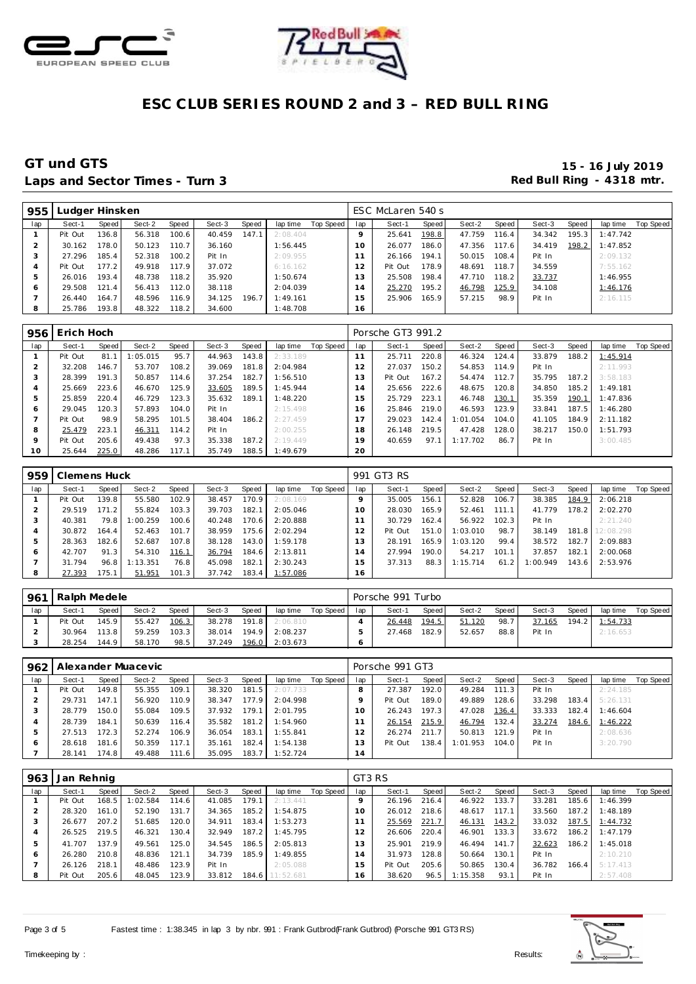



### **GT und GTS 15 - 16 July 2019** Laps and Sector Times - Turn 3 **Red Bull Ring - 4318 mtr. Red Bull Ring - 4318 mtr.**

| 955 | udger Hinsken. |       |        |       |        |       |          |           |                | ESC McLaren 540 s |       |        |       |        |       |          |           |
|-----|----------------|-------|--------|-------|--------|-------|----------|-----------|----------------|-------------------|-------|--------|-------|--------|-------|----------|-----------|
| lap | Sect-1         | Speed | Sect-2 | Speed | Sect-3 | Speed | lap time | Top Speed | lap            | Sect-1            | Speed | Sect-2 | Speed | Sect-3 | Speed | lap time | Top Speed |
|     | Pit Out        | 136.8 | 56.318 | 100.6 | 40.459 | 147.1 | 2:08.404 |           |                | 25.641            | 198.8 | 47.759 | 116.4 | 34.342 | 195.3 | 1:47.742 |           |
|     | 30.162         | 178.0 | 50.123 | 110.7 | 36.160 |       | 1:56.445 |           | $10^{-}$       | 26.077            | 186.0 | 47.356 | 117.6 | 34.419 | 198.2 | 1:47.852 |           |
|     | 27.296         | 185.4 | 52.318 | 100.2 | Pit In |       | 2:09.955 |           |                | 26.166            | 194.1 | 50.015 | 108.4 | Pit In |       | 2:09.132 |           |
| 4   | Pit Out        | 177.2 | 49.918 | 117.9 | 37.072 |       | 6:16.162 |           | $\overline{2}$ | Pit Out           | 178.9 | 48.691 | 118.7 | 34.559 |       | 7:55.162 |           |
|     | 26.016         | 193.4 | 48.738 | 118.2 | 35.920 |       | 1:50.674 |           | 3              | 25.508            | 198.4 | 47.710 | 118.2 | 33.737 |       | 1:46.955 |           |
| Ô   | 29.508         | 121.4 | 56.413 | 112.0 | 38.118 |       | 2:04.039 |           | 4              | 25.270            | 195.2 | 46.798 | 125.9 | 34.108 |       | 1:46.176 |           |
|     | 26.440         | 164.7 | 48.596 | 116.9 | 34.125 | 196.7 | 1:49.161 |           | 5              | 25.906            | 165.9 | 57.215 | 98.9  | Pit In |       | 2:16.115 |           |
| 8   | 25.786         | 193.8 | 48.322 | 118.2 | 34.600 |       | 1:48.708 |           | 16             |                   |       |        |       |        |       |          |           |

| 956          | Erich Hoch |       |         |       |        |       |          |           |     | Porsche GT3 991.2 |       |          |       |        |       |          |                  |
|--------------|------------|-------|---------|-------|--------|-------|----------|-----------|-----|-------------------|-------|----------|-------|--------|-------|----------|------------------|
| lap          | Sect-1     | Speed | Sect-2  | Speed | Sect-3 | Speed | lap time | Top Speed | lap | Sect-1            | Speed | Sect-2   | Speed | Sect-3 | Speed | lap time | <b>Top Speed</b> |
|              | Pit Out    | 81.1  | :05.015 | 95.7  | 44.963 | 143.8 | 2:33.189 |           | 11  | 25.711            | 220.8 | 46.324   | 124.4 | 33.879 | 188.2 | 1:45.914 |                  |
|              | 32.208     | 146.7 | 53.707  | 108.2 | 39.069 | 181.8 | 2:04.984 |           | 12  | 27.037            | 150.2 | 54.853   | 114.9 | Pit In |       | 2:11.993 |                  |
| చ            | 28.399     | 191.3 | 50.857  | 114.6 | 37.254 | 182.7 | 1:56.510 |           | l 3 | Pit Out           | 167.2 | 54.474   | 112.7 | 35.795 | 187.2 | 3:58.183 |                  |
|              | 25.669     | 223.6 | 46.670  | 125.9 | 33.605 | 189.5 | 1:45.944 |           | 14  | 25.656            | 222.6 | 48.675   | 120.8 | 34.850 | 185.2 | 1:49.181 |                  |
| 5            | 25.859     | 220.4 | 46.729  | 123.3 | 35.632 | 189.1 | 1:48.220 |           | 15  | 25.729            | 223.1 | 46.748   | 130.1 | 35.359 | 190.1 | 1:47.836 |                  |
| <sub>6</sub> | 29.045     | 120.3 | 57.893  | 104.0 | Pit In |       | 2:15.498 |           | 16  | 25.846            | 219.0 | 46.593   | 123.9 | 33.841 | 187.5 | 1:46.280 |                  |
|              | Pit Out    | 98.9  | 58.295  | 101.5 | 38.404 | 186.2 | 2:27.459 |           |     | 29.023            | 142.4 | 1:01.054 | 104.0 | 41.105 | 184.9 | 2:11.182 |                  |
| 8            | 25.479     | 223.1 | 46.311  | 114.2 | Pit In |       | 2:00.255 |           | 18  | 26.148            | 219.5 | 47.428   | 128.0 | 38.217 | 150.0 | 1:51.793 |                  |
| $\circ$      | Pit Out    | 205.6 | 49.438  | 97.3  | 35.338 | 187.2 | 2:19.449 |           | 19  | 40.659            | 97.1  | 1:17.702 | 86.7  | Pit In |       | 3:00.485 |                  |
| 10           | 25.644     | 225.0 | 48.286  | 117.1 | 35.749 | 188.5 | 1:49.679 |           | 20  |                   |       |          |       |        |       |          |                  |

|     | 959   Clemens Huck |        |          |       |        |       |          |           |     | 991 GT3 RS |       |          |       |          |       |                 |           |
|-----|--------------------|--------|----------|-------|--------|-------|----------|-----------|-----|------------|-------|----------|-------|----------|-------|-----------------|-----------|
| lap | Sect-1             | Speed  | Sect-2   | Speed | Sect-3 | Speed | lap time | Top Speed | lap | Sect-1     | Speed | Sect-2   | Speed | Sect-3   | Speed | lap time        | Top Speed |
|     | Pit Out            | 139.8. | 55.580   | 102.9 | 38.457 | 170.9 | 2:08.169 |           |     | 35.005     | 156.1 | 52.828   | 106.7 | 38.385   | 184.9 | 2:06.218        |           |
|     | 29.519             | 71.2   | 55.824   | 103.3 | 39.703 | 182.1 | 2:05.046 |           | 10  | 28.030     | 165.9 | 52.461   | 111.1 | 41.779   | 178.2 | 2:02.270        |           |
|     | 40.381             | 79.8   | :00.259  | 100.6 | 40.248 | 170.6 | 2:20.888 |           |     | 30.729     | 162.4 | 56.922   | 102.3 | Pit In   |       | 2:21.240        |           |
| 4   | 30.872             | 64.4   | 52.463   | 101.7 | 38.959 | 175.6 | 2:02.294 |           | 12  | Pit Out    | 151.0 | 1:03.010 | 98.7  | 38.149   |       | 181.8 12:08.298 |           |
| b.  | 28.363             | 182.6  | 52.687   | 107.8 | 38.128 | 143.0 | 1:59.178 |           | 13  | 28.191     | 165.9 | 1:03.120 | 99.4  | 38.572   | 182.7 | 2:09.883        |           |
| 6   | 42.707             | 91.3   | 54.310   | 116.1 | 36.794 | 184.6 | 2:13.811 |           | 14  | 27.994     | 190.0 | 54.217   | 101.1 | 37.857   | 182.1 | 2:00.068        |           |
|     | 31.794             | 96.8   | 1:13.351 | 76.8  | 45.098 | 182.1 | 2:30.243 |           | 15  | 37.313     | 88.3  | 1:15.714 | 61.2  | 1:00.949 | 143.6 | 2:53.976        |           |
| 8   | 27.393             | 75.1   | 51.951   | 101.3 | 37.742 | 183.4 | 1:57.086 |           | 16  |            |       |          |       |          |       |                 |           |

| 961 | Ralph Medele |         |        |       |        |       |          |           |     | Porsche 991 Turbo |       |        |       |        |       |          |           |
|-----|--------------|---------|--------|-------|--------|-------|----------|-----------|-----|-------------------|-------|--------|-------|--------|-------|----------|-----------|
| lap | Sect-1       | Speed I | Sect-2 | Speed | Sect-3 | Speed | lap time | Top Speed | lap | Sect-1            | Speed | Sect-2 | Speed | Sect-3 | Speed | lap time | Top Speed |
|     | Pit Out      | 145.9   | 55.427 | 106.3 | 38.278 | 191.8 | 2:06.810 |           |     | 26.448            | 194.5 | 51.120 | 98.7  | 37.165 | 194.2 | 1:54.733 |           |
|     | 30.964       | 113.8   | 59.259 | 103.3 | 38.014 | 194.9 | 2:08.237 |           |     | 27.468            | 182.9 | 52.657 | 88.8  | Pit In |       | 2:16.653 |           |
|     | 28.254       | 144.91  | 58.170 | 98.5  | 37.249 | 196.0 | 2:03.673 |           |     |                   |       |        |       |        |       |          |           |

|              | 962   Alexander Muacevic |       |        |       |        |       |          |           |     | Porsche 991 GT3 |                    |          |       |        |       |          |           |
|--------------|--------------------------|-------|--------|-------|--------|-------|----------|-----------|-----|-----------------|--------------------|----------|-------|--------|-------|----------|-----------|
| lap          | Sect-1                   | Speed | Sect-2 | Speed | Sect-3 | Speed | lap time | Top Speed | lap | Sect-1          | Speed              | Sect-2   | Speed | Sect-3 | Speed | lap time | Top Speed |
|              | Pit Out                  | 149.8 | 55.355 | 109.1 | 38.320 | 181.5 | 2:07.733 |           |     | 27.387          | 192.0              | 49.284   | 111.3 | Pit In |       | 2:24.185 |           |
|              | 29.731                   | 147.1 | 56.920 | 110.9 | 38.347 | 177.9 | 2:04.998 |           |     | Pit Out         | 189.0 <sub>1</sub> | 49.889   | 128.6 | 33.298 | 183.4 | 5:26.131 |           |
|              | 28.779                   | 150.0 | 55.084 | 109.5 | 37.932 | 179.1 | 2:01.795 |           |     | 26.243          | 197.3              | 47.028   | 136.4 | 33.333 | 182.4 | 1:46.604 |           |
|              | 28.739                   | 184.1 | 50.639 | 116.4 | 35.582 | 181.2 | 1:54.960 |           |     | 26.154          | 215.9              | 46.794   | 132.4 | 33.274 | 184.6 | 1:46.222 |           |
|              | 27.513                   | 172.3 | 52.274 | 106.9 | 36.054 | 183.1 | 1:55.841 |           |     | 26.274          | 211.7              | 50.813   | 121.9 | Pit In |       | 2:08.636 |           |
| <sub>0</sub> | 28.618                   | 181.6 | 50.359 | 117.1 | 35.161 | 182.4 | 1:54.138 |           | 3   | Pit Out         | 138.4              | 1:01.953 | 104.0 | Pit In |       | 3:20.790 |           |
|              | 28.141                   | 174.8 | 49.488 | 111.6 | 35.095 | 183.7 | 1:52.724 |           | 14  |                 |                    |          |       |        |       |          |           |

| 963 | Jan Rehnig |       |          |       |        |       |           |           | GT3 RS   |         |       |          |       |        |       |                  |           |
|-----|------------|-------|----------|-------|--------|-------|-----------|-----------|----------|---------|-------|----------|-------|--------|-------|------------------|-----------|
| lap | Sect-1     | Speed | Sect-2   | Speed | Sect-3 | Speed | lap time  | Top Speed | lap      | Sect-1  | Speed | Sect-2   | Speed | Sect-3 | Speed | lap time         | Top Speed |
|     | Pit Out    | 168.5 | 1:02.584 | 114.6 | 41.085 | 179.1 | 2:13.441  |           |          | 26.196  | 216.4 | 46.922   | 133.7 | 33.281 | 185.6 | 1:46.399         |           |
|     | 28.320     | 161.0 | 52.190   | 131.7 | 34.365 | 185.2 | 1:54.875  |           | $10^{-}$ | 26.012  | 218.6 | 48.617   | 117.1 | 33.560 | 187.2 | 1:48.189         |           |
| 3   | 26.677     | 207.2 | 51.685   | 120.0 | 34.911 | 183.4 | 1:53.273  |           |          | 25.569  | 221.7 | 46.131   | 143.2 | 33.032 | 187.5 | 1:44.732         |           |
|     | 26.525     | 219.5 | 46.321   | 130.4 | 32.949 | 187.2 | 1:45.795  |           |          | 26.606  | 220.4 | 46.901   | 133.3 | 33.672 | 186.2 | 1:47.179         |           |
| 5   | 41.707     | 137.9 | 49.561   | 125.0 | 34.545 | 186.5 | 2:05.813  |           | 13       | 25.901  | 219.9 | 46.494   | 141.7 | 32.623 | 186.2 | 1:45.018         |           |
| Ô   | 26.280     | 210.8 | 48.836   | 121.1 | 34.739 | 185.9 | 1:49.855  |           | 4        | 31.973  | 128.8 | 50.664   | 130.1 | Pit In |       | 2:10.210         |           |
|     | 26.126     | 218.1 | 48.486   | 123.9 | Pit In |       | 2:05.088  |           | 5        | Pit Out | 205.6 | 50.865   | 130.4 | 36.782 |       | $166.4$ 5:17.413 |           |
| 8   | Pit Out    | 205.6 | 48.045   | 123.9 | 33.812 | 184.6 | 11:52.681 |           | 16       | 38.620  | 96.5  | 1:15.358 | 93.1  | Pit In |       | 2:57.408         |           |

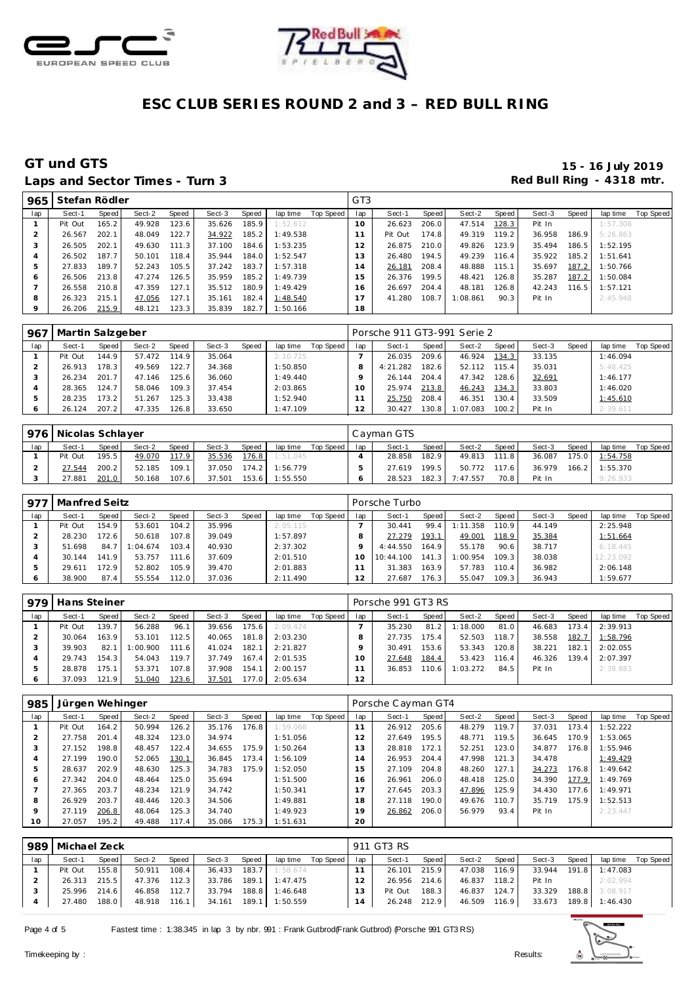



### Laps and Sector Times - Turn 3 **Red Bull Ring - 4318 mtr. Red Bull Ring - 4318 mtr.**

# **GT und GTS 15 - 16 July 2019**

| 965 | Stefan Rödler |       |        |       |        |       |           |           | GT <sub>3</sub> |         |       |          |         |        |       |          |           |
|-----|---------------|-------|--------|-------|--------|-------|-----------|-----------|-----------------|---------|-------|----------|---------|--------|-------|----------|-----------|
| lap | Sect-1        | Speed | Sect-2 | Speed | Sect-3 | Speed | lap time  | Top Speed | lap             | Sect-1  | Speed | Sect-2   | Speed I | Sect-3 | Speed | lap time | Top Speed |
|     | Pit Out       | 165.2 | 49.928 | 123.6 | 35.626 | 185.9 | 1:52.612  |           | 10              | 26.623  | 206.0 | 47.514   | 128.3   | Pit In |       | 1:57.308 |           |
|     | 26.567        | 202.1 | 48.049 | 122.7 | 34.922 | 185.2 | 1:49.538  |           |                 | Pit Out | 174.8 | 49.319   | 119.2   | 36.958 | 186.9 | 5:26.863 |           |
|     | 26.505        | 202.1 | 49.630 | 111.3 | 37.100 | 184.6 | 1:53.235  |           | 12              | 26.875  | 210.0 | 49.826   | 123.9   | 35.494 | 186.5 | 1:52.195 |           |
| 4   | 26.502        | 187.7 | 50.101 | 118.4 | 35.944 | 184.0 | 1:52.547  |           | 13              | 26.480  | 194.5 | 49.239   | 116.4   | 35.922 | 185.2 | 1:51.641 |           |
| 5   | 27.833        | 189.7 | 52.243 | 105.5 | 37.242 | 183.7 | 1:57.318  |           | 14              | 26.181  | 208.4 | 48.888   | 115.1   | 35.697 | 187.2 | 1:50.766 |           |
| 6   | 26.506        | 213.8 | 47.274 | 126.5 | 35.959 | 185.2 | I: 49.739 |           | 15              | 26.376  | 199.5 | 48.421   | 126.8   | 35.287 | 187.2 | 1:50.084 |           |
|     | 26.558        | 210.8 | 47.359 | 127.1 | 35.512 | 180.9 | 1:49.429  |           | 16              | 26.697  | 204.4 | 48.181   | 126.8   | 42.243 | 116.5 | 1:57.121 |           |
| 8   | 26.323        | 215.1 | 47.056 | 127.1 | 35.161 | 182.4 | 1:48.540  |           | 17              | 41.280  | 108.7 | 1:08.861 | 90.3    | Pit In |       | 2:45.948 |           |
| 9   | 26.206        | 215.9 | 48.121 | 123.3 | 35.839 | 182.7 | 1:50.166  |           | 18              |         |       |          |         |        |       |          |           |

| 967 | Martin Salzgeber |       |        |                    |        |       |          |           |     | Porsche 911 GT3-991 Serie 2 |       |              |       |        |       |          |           |
|-----|------------------|-------|--------|--------------------|--------|-------|----------|-----------|-----|-----------------------------|-------|--------------|-------|--------|-------|----------|-----------|
| lap | Sect-1           | Speed | Sect-2 | Speed              | Sect-3 | Speed | lap time | Top Speed | lap | Sect-1                      | Speed | Sect-2       | Speed | Sect-3 | Speed | lap time | Top Speed |
|     | Pit Out          | 144.9 | 57.472 | 114.9              | 35.064 |       | 2:10.725 |           |     | 26.035                      | 209.6 | 46.924       | 134.3 | 33.135 |       | 1:46.094 |           |
|     | 26.913           | 178.3 | 49.569 | 122.7              | 34.368 |       | 1:50.850 |           |     | 4:21.282                    | 182.6 | 52.112 115.4 |       | 35.031 |       | 5:48.425 |           |
|     | 26.234           | 201.7 | 47.146 | 125.6              | 36.060 |       | 1:49.440 |           |     | 26.144                      | 204.4 | 47.342       | 128.6 | 32.691 |       | 1:46.177 |           |
|     | 28.365           | 124.7 | 58.046 | 109.3 <sub>1</sub> | 37.454 |       | 2:03.865 |           |     | 25.974                      | 213.8 | 46.243       | 134.3 | 33.803 |       | 1:46.020 |           |
|     | 28.235           | 173.2 | 51.267 | 125.3              | 33.438 |       | 1:52.940 |           |     | 25.750                      | 208.4 | 46.351       | 130.4 | 33.509 |       | 1:45.610 |           |
|     | 26.124           | 207.2 | 47.335 | 126.8 <sub>1</sub> | 33.650 |       | 1:47.109 |           | 12  | 30.427                      | 130.8 | 1:07.083     | 100.2 | Pit In |       | 2:39.611 |           |

|     | 976 Nicolas Schlayer |       |        |       |        |         |          |           |     | Cayman GTS |       |                  |       |        |       |          |           |
|-----|----------------------|-------|--------|-------|--------|---------|----------|-----------|-----|------------|-------|------------------|-------|--------|-------|----------|-----------|
| lap | Sect-1               | Speed | Sect-2 | Speed | Sect-3 | Speed   | lap time | Top Speed | lap | Sect-1     | Speed | Sect-2           | Speed | Sect-3 | Speed | lap time | Top Speed |
|     | Pit Out              | 195.5 | 49.070 | 117.9 | 35.536 | 176.8   | 1:51.045 |           |     | 28.858     | 182.9 | 49.813           | 111.8 | 36.087 | 175.0 | 1:54.758 |           |
|     | 27.544               | 200.2 | 52.185 | 109.1 | 37.050 | $174.2$ | 1:56.779 |           |     | 27.619     | 199.5 | 50.772           | 117.6 | 36.979 | 166.2 | 1:55.370 |           |
|     | 27.881               | 201.0 | 50.168 | 107.6 | 37.501 | 153.6   | 1:55.550 |           |     | 28.523     |       | $182.3$ 7:47.557 | 70.8  | Pit In |       | 9:26.933 |           |

| . 977 | Manfred Seitz |       |         |       |        |       |          |           |     | Porsche Turbo |        |          |        |        |       |           |           |  |
|-------|---------------|-------|---------|-------|--------|-------|----------|-----------|-----|---------------|--------|----------|--------|--------|-------|-----------|-----------|--|
| lap   | Sect-1        | Speed | Sect-2  | Speed | Sect-3 | Speed | lap time | Top Speed | lap | Sect-1        | Speed  | Sect-2   | Speed  | Sect-3 | Speed | lap time  | Top Speed |  |
|       | Pit Out       | 154.9 | 53.601  | 104.2 | 35.996 |       | 2:05.115 |           |     | 30.441        | 99.4   | 1:11.358 | 110.9  | 44.149 |       | 2:25.948  |           |  |
|       | 28.230        | 172.6 | 50.618  | 107.8 | 39.049 |       | 1:57.897 |           |     | 27.279        | 193.1  | 49.001   | 118.9  | 35.384 |       | 1:51.664  |           |  |
|       | 51.698        | 84.7  | :04.674 | 103.4 | 40.930 |       | 2:37.302 |           |     | 4:44.550      | 164.9  | 55.178   | 90.6   | 38.717 |       | 6:18.445  |           |  |
|       | 30.144        | 141.9 | 53.757  | 111.6 | 37.609 |       | 2:01.510 |           |     | 10:44.100     | 141.3  | 1:00.954 | 109.3  | 38.038 |       | 12:23.092 |           |  |
|       | 29.611        | 172.9 | 52.802  | 105.9 | 39.470 |       | 2:01.883 |           |     | 31.383        | 163.9  | 57.783   | 110.41 | 36.982 |       | 2:06.148  |           |  |
|       | 38.900        | 87.4  | 55.554  | 112.0 | 37.036 |       | 2:11.490 |           | 12  | 27.687        | 176.3. | 55.047   | 109.3  | 36.943 |       | 1:59.677  |           |  |

| 979 |         | Hans Steiner |          |        |        |       |          |           |     |        | Porsche 991 GT3 RS |          |       |        |       |                  |           |  |  |  |
|-----|---------|--------------|----------|--------|--------|-------|----------|-----------|-----|--------|--------------------|----------|-------|--------|-------|------------------|-----------|--|--|--|
| lap | Sect-1  | Speed        | Sect-2   | Speed  | Sect-3 | Speed | lap time | Top Speed | lap | Sect-1 | Speed              | Sect-2   | Speed | Sect-3 | Speed | lap time         | Top Speed |  |  |  |
|     | Pit Out | 139.7        | 56.288   | 96.7   | 39.656 | 175.6 | 2:09.424 |           |     | 35.230 | 81.2               | 1:18.000 | 81.0  | 46.683 |       | $173.4$ 2:39.913 |           |  |  |  |
|     | 30.064  | 163.9        | 53.101   | 112.5  | 40.065 | 181.8 | 2:03.230 |           |     | 27.735 | 175.4              | 52.503   | 118.7 | 38.558 | 182.7 | 1:58.796         |           |  |  |  |
|     | 39.903  | 82.1         | 1:00.900 | 111.6  | 41.024 | 182.1 | 2:21.827 |           |     | 30.491 | 153.6              | 53.343   | 120.8 | 38.221 | 182.1 | 2:02.055         |           |  |  |  |
|     | 29.743  | 154.3        | 54.043   | 119.7  | 37.749 | 167.4 | 2:01.535 |           |     | 27.648 | 184.4              | 53.423   | 116.4 | 46.326 | 139.4 | 2:07.397         |           |  |  |  |
|     | 28.878  | 175.1        | 53.371   | 107.81 | 37.908 | 154.1 | 2:00.157 |           |     | 36.853 | 110.6              | 1:03.272 | 84.5  | Pit In |       | 2:38.883         |           |  |  |  |
|     | 37.093  | 121.9        | 51.040   | 123.6  | 37.501 | 177.0 | 2:05.634 |           | 12  |        |                    |          |       |        |       |                  |           |  |  |  |

| 985             | Jürgen Wehinger |       |        |       |        |       |          |           |     | Porsche Cayman GT4 |       |        |       |        |       |          |           |  |  |
|-----------------|-----------------|-------|--------|-------|--------|-------|----------|-----------|-----|--------------------|-------|--------|-------|--------|-------|----------|-----------|--|--|
| lap             | Sect-1          | Speed | Sect-2 | Speed | Sect-3 | Speed | lap time | Top Speed | lap | Sect-1             | Speed | Sect-2 | Speed | Sect-3 | Speed | lap time | Top Speed |  |  |
|                 | Pit Out         | 164.2 | 50.994 | 126.2 | 35.176 | 176.8 | 1:59.068 |           | 11  | 26.912             | 205.6 | 48.279 | 119.7 | 37.031 | 173.4 | 1:52.222 |           |  |  |
|                 | 27.758          | 201.4 | 48.324 | 123.0 | 34.974 |       | 1:51.056 |           | 12  | 27.649             | 195.5 | 48.771 | 119.5 | 36.645 | 170.9 | 1:53.065 |           |  |  |
| 3               | 27.152          | 198.8 | 48.457 | 122.4 | 34.655 | 175.9 | 1:50.264 |           | 13  | 28.818             | 172.1 | 52.251 | 123.0 | 34.877 | 176.8 | 1:55.946 |           |  |  |
| 4               | 27.199          | 190.0 | 52.065 | 130.1 | 36.845 | 173.4 | 1:56.109 |           | 14  | 26.953             | 204.4 | 47.998 | 121.3 | 34.478 |       | 1:49.429 |           |  |  |
| 5               | 28.637          | 202.9 | 48.630 | 125.3 | 34.783 | 175.9 | 1:52.050 |           | 15  | 27.109             | 204.8 | 48.260 | 127.1 | 34.273 | 176.8 | 1:49.642 |           |  |  |
| Ô               | 27.342          | 204.0 | 48.464 | 125.0 | 35.694 |       | 1:51.500 |           | 16  | 26.961             | 206.0 | 48.418 | 125.0 | 34.390 | 177.9 | 1:49.769 |           |  |  |
|                 | 27.365          | 203.7 | 48.234 | 121.9 | 34.742 |       | 1:50.341 |           | 17  | 27.645             | 203.3 | 47.896 | 125.9 | 34.430 | 177.6 | 1:49.971 |           |  |  |
| 8               | 26.929          | 203.7 | 48.446 | 120.3 | 34.506 |       | 1:49.881 |           | 18  | 27.118             | 190.0 | 49.676 | 110.7 | 35.719 | 175.9 | 1:52.513 |           |  |  |
| $\circ$         | 27.119          | 206.8 | 48.064 | 125.3 | 34.740 |       | 1:49.923 |           | 19  | 26.862             | 206.0 | 56.979 | 93.4  | Pit In |       | 2:23.447 |           |  |  |
| 10 <sup>°</sup> | 27.057          | 195.2 | 49.488 | 117.4 | 35.086 | 175.3 | 1:51.631 |           | 20  |                    |       |        |       |        |       |          |           |  |  |

| 989 | Michael Zeck |       |        |       |        |       |                         |           | 911 GT3 RS |              |       |              |       |        |       |                |           |  |
|-----|--------------|-------|--------|-------|--------|-------|-------------------------|-----------|------------|--------------|-------|--------------|-------|--------|-------|----------------|-----------|--|
| lap | Sect-1       | Speed | Sect-2 | Speed | Sect-3 | Speed | lap time                | Top Speed | lap        | Sect-1       | Speed | Sect-2       | Speed | Sect-3 | Speed | lap time       | Top Speed |  |
|     | Pit Out      | 155.8 | 50.911 | 108.4 | 36.433 | 183.7 | 1:58.674                |           |            | 26.101       | 215.9 | 47.038       | 116.9 | 33.944 | 191.8 | 1:47.083       |           |  |
|     | 26.313       | 215.5 | 47.376 | 112.3 |        |       | 33.786 189.1 1:47.475   |           |            | 26.956 214.6 |       | 46.837       | 118.2 | Pit In |       | 2:02.994       |           |  |
|     | 25.996       | 214.6 | 46.858 | 112.7 | 33.794 | 188.8 | 1:46.648                |           | 13         | Pit Out      | 188.3 | 46.837       | 124.7 | 33.329 |       | 188.8 3:08.917 |           |  |
|     | 27.480       | 188.0 | 48.918 | 116.1 |        |       | 34.161  189.1  1:50.559 |           | 14         | 26.248       | 212.9 | 46.509 116.9 |       | 33.673 |       | 189.8 1:46.430 |           |  |